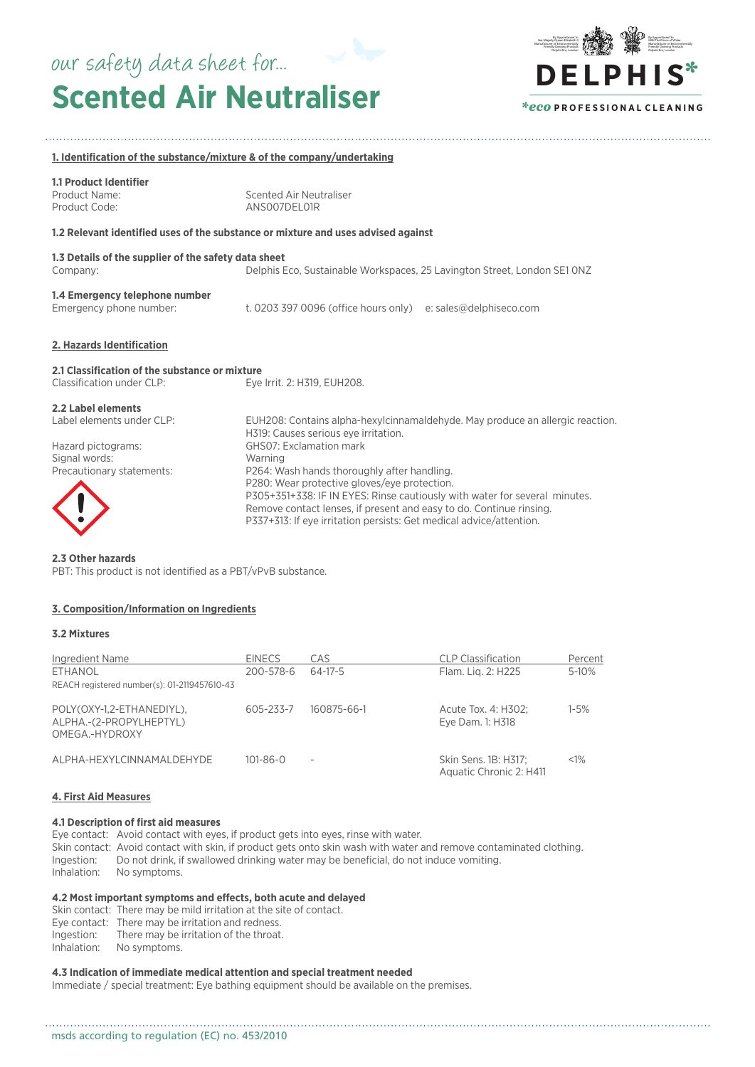# **Scented Air Neutraliser** our safety data sheet for...



## **1. Identification of the substance/mixture & of the company/undertaking**

| <b>1.1 Product Identifier</b><br>Product Name:<br>Product Code:                                                     | Scented Air Neutraliser<br>ANS007DEL01R                                                                                                                                                                                                                                                                                                                                                                                                                                                |
|---------------------------------------------------------------------------------------------------------------------|----------------------------------------------------------------------------------------------------------------------------------------------------------------------------------------------------------------------------------------------------------------------------------------------------------------------------------------------------------------------------------------------------------------------------------------------------------------------------------------|
|                                                                                                                     | 1.2 Relevant identified uses of the substance or mixture and uses advised against                                                                                                                                                                                                                                                                                                                                                                                                      |
| 1.3 Details of the supplier of the safety data sheet<br>Company:                                                    | Delphis Eco, Sustainable Workspaces, 25 Lavington Street, London SE1 ONZ                                                                                                                                                                                                                                                                                                                                                                                                               |
| 1.4 Emergency telephone number<br>Emergency phone number:                                                           | t. 0203 397 0096 (office hours only) e: sales@delphiseco.com                                                                                                                                                                                                                                                                                                                                                                                                                           |
| 2. Hazards Identification                                                                                           |                                                                                                                                                                                                                                                                                                                                                                                                                                                                                        |
| 2.1 Classification of the substance or mixture<br>Classification under CLP:                                         | Eye Irrit. 2: H319, EUH208.                                                                                                                                                                                                                                                                                                                                                                                                                                                            |
| 2.2 Label elements<br>Label elements under CLP:<br>Hazard pictograms:<br>Signal words:<br>Precautionary statements: | EUH208: Contains alpha-hexylcinnamaldehyde. May produce an allergic reaction.<br>H319: Causes serious eye irritation.<br>GHSO7: Exclamation mark<br>Warning<br>P264: Wash hands thoroughly after handling.<br>P280: Wear protective gloves/eye protection.<br>P305+351+338: IF IN EYES: Rinse cautiously with water for several minutes.<br>Remove contact lenses, if present and easy to do. Continue rinsing.<br>P337+313: If eye irritation persists: Get medical advice/attention. |

#### **2.3 Other hazards**

PBT: This product is not identified as a PBT/vPvB substance.

## **3. Composition/Information on Ingredients**

## **3.2 Mixtures**

| Ingredient Name                                                        | <b>EINECS</b>  | CAS         | <b>CLP Classification</b>                       | Percent  |
|------------------------------------------------------------------------|----------------|-------------|-------------------------------------------------|----------|
| ETHANOL<br>REACH registered number(s): 01-2119457610-43                | 200-578-6      | 64-17-5     | Flam. Lig. 2: H225                              | 5-10%    |
| POLY(OXY-1,2-ETHANEDIYL),<br>ALPHA.-(2-PROPYLHEPTYL)<br>OMEGA.-HYDROXY | 605-233-7      | 160875-66-1 | Acute Tox. 4: H302;<br>Eye Dam. 1: H318         | $1 - 5%$ |
| ALPHA-HEXYLCINNAMALDEHYDE                                              | $101 - 86 - 0$ |             | Skin Sens. 1B: H317;<br>Aquatic Chronic 2: H411 | $< 1\%$  |

## **4. First Aid Measures**

## **4.1 Description of first aid measures**

Eye contact: Avoid contact with eyes, if product gets into eyes, rinse with water. Skin contact: Avoid contact with skin, if product gets onto skin wash with water and remove contaminated clothing. Ingestion: Do not drink, if swallowed drinking water may be beneficial, do not induce vomiting. Inhalation: No symptoms.

## **4.2 Most important symptoms and effects, both acute and delayed**

Skin contact: There may be mild irritation at the site of contact. Eye contact: There may be irritation and redness.<br>Ingestion: There may be irritation of the throat. There may be irritation of the throat. Inhalation: No symptoms.

## **4.3 Indication of immediate medical attention and special treatment needed**

Immediate / special treatment: Eye bathing equipment should be available on the premises.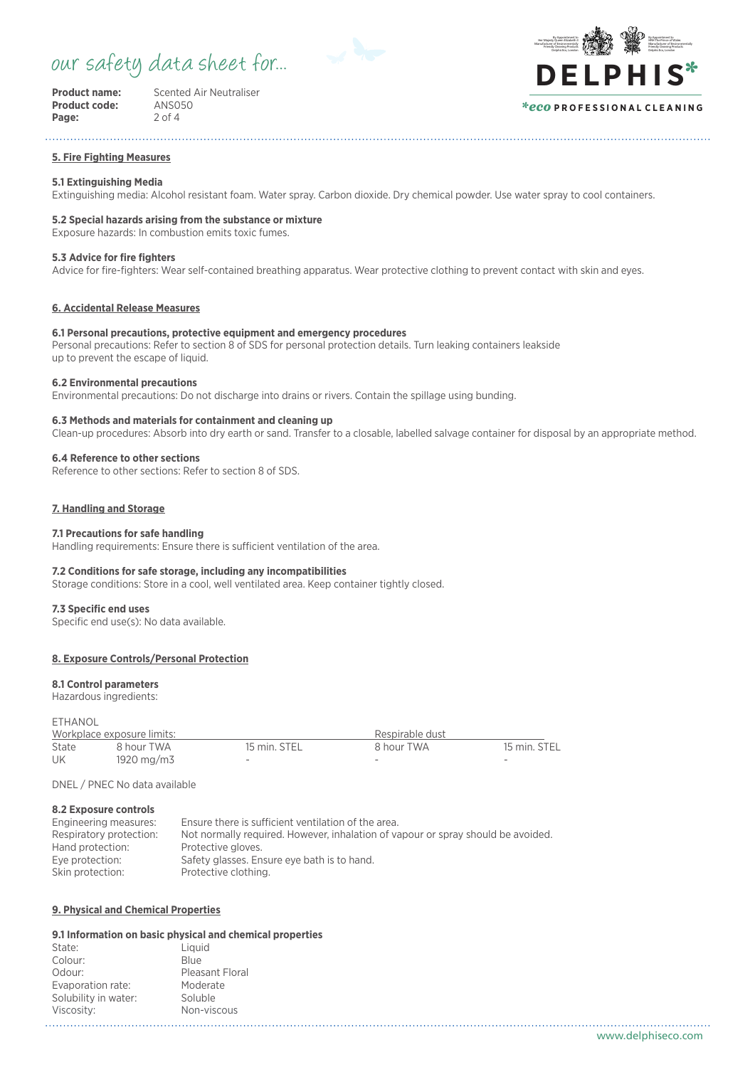## our safety data sheet for...



**Product code:** ANSO<br>**Page:** 2 of 4 Page:

**Product name:** Scented Air Neutraliser<br> **Product code:** ANS050

#### By Appointment to **HRH The Prince of Wale** Manufacturer of Environmentally Friendly Cleaning Products Delphis Eco, London By Appointment to Her Majesty Queen Elizabeth I Manufacturer of Environmentally Friendly Cleaning Products Delphis Eco, London **DE LPHIS**\*

## *\*eco* **P R O F E S S I O N A L C L E A N I N G**

#### **5. Fire Fighting Measures**

## **5.1 Extinguishing Media**

Extinguishing media: Alcohol resistant foam. Water spray. Carbon dioxide. Dry chemical powder. Use water spray to cool containers.

## **5.2 Special hazards arising from the substance or mixture**

Exposure hazards: In combustion emits toxic fumes.

## **5.3 Advice for fire fighters**

Advice for fire-fighters: Wear self-contained breathing apparatus. Wear protective clothing to prevent contact with skin and eyes.

## **6. Accidental Release Measures**

## **6.1 Personal precautions, protective equipment and emergency procedures**

Personal precautions: Refer to section 8 of SDS for personal protection details. Turn leaking containers leakside up to prevent the escape of liquid.

#### **6.2 Environmental precautions**

Environmental precautions: Do not discharge into drains or rivers. Contain the spillage using bunding.

## **6.3 Methods and materials for containment and cleaning up**

Clean-up procedures: Absorb into dry earth or sand. Transfer to a closable, labelled salvage container for disposal by an appropriate method.

## **6.4 Reference to other sections**

Reference to other sections: Refer to section 8 of SDS.

## **7. Handling and Storage**

## **7.1 Precautions for safe handling**

Handling requirements: Ensure there is sufficient ventilation of the area.

## **7.2 Conditions for safe storage, including any incompatibilities**

Storage conditions: Store in a cool, well ventilated area. Keep container tightly closed.

#### **7.3 Specific end uses**

Specific end use(s): No data available.

## **8. Exposure Controls/Personal Protection**

#### **8.1 Control parameters**

Hazardous ingredients:

ETHANOL

|       | Workplace exposure limits: |              | Respirable dust |              |
|-------|----------------------------|--------------|-----------------|--------------|
| State | 8 hour TWA                 | 15 min. STEL | 8 hour TWA      | 15 min. STEL |
| UK    | 1920 mg/m3                 | $\sim$       | -               | -            |

DNEL / PNEC No data available

## **8.2 Exposure controls**

| Engineering measures:   | Ensure there is sufficient ventilation of the area.                              |
|-------------------------|----------------------------------------------------------------------------------|
| Respiratory protection: | Not normally required. However, inhalation of vapour or spray should be avoided. |
| Hand protection:        | Protective gloves.                                                               |
| Eye protection:         | Safety glasses. Ensure eye bath is to hand.                                      |
| Skin protection:        | Protective clothing.                                                             |
|                         |                                                                                  |

## **9. Physical and Chemical Properties**

## **9.1 Information on basic physical and chemical properties**

| State:               | Liquid          |
|----------------------|-----------------|
| Colour:              | <b>Blue</b>     |
| Odour:               | Pleasant Floral |
| Evaporation rate:    | Moderate        |
| Solubility in water: | Soluble         |
| Viscosity:           | Non-viscous     |
|                      |                 |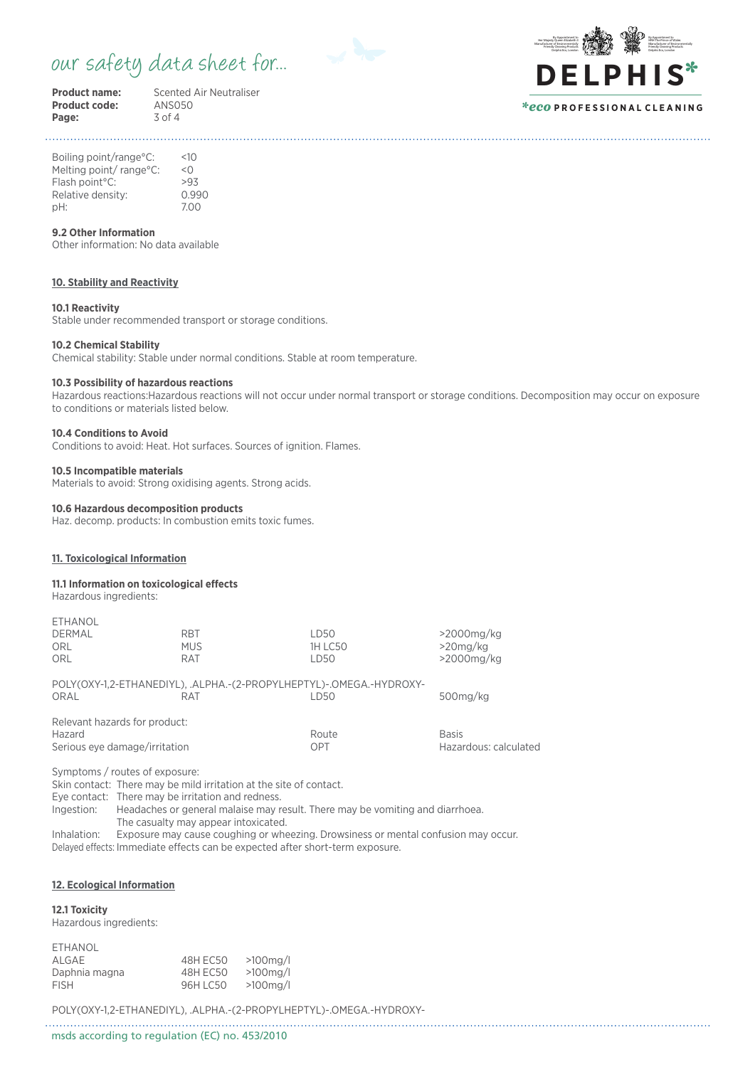## our safety data sheet for...



**Product code:** ANSO<br>**Page:** 3 of 4 Page:

**Product name:** Scented Air Neutraliser<br> **Product code:** ANS050



Boiling point/range°C: <10 Melting point/range°C: <0 Flash point°C: >93 Relative density: 0.990<br>
nH: 7.00 pH: 7.00

## **9.2 Other Information**

Other information: No data available

## **10. Stability and Reactivity**

#### **10.1 Reactivity**

Stable under recommended transport or storage conditions.

## **10.2 Chemical Stability**

Chemical stability: Stable under normal conditions. Stable at room temperature.

## **10.3 Possibility of hazardous reactions**

Hazardous reactions:Hazardous reactions will not occur under normal transport or storage conditions. Decomposition may occur on exposure to conditions or materials listed below.

## **10.4 Conditions to Avoid**

Conditions to avoid: Heat. Hot surfaces. Sources of ignition. Flames.

#### **10.5 Incompatible materials**

Materials to avoid: Strong oxidising agents. Strong acids.

### **10.6 Hazardous decomposition products**

Haz. decomp. products: In combustion emits toxic fumes.

## **11. Toxicological Information**

#### **11.1 Information on toxicological effects**

Hazardous ingredients:

ETHANOL

| <b>EIHANUL</b>                 |            |                                                                     |                       |
|--------------------------------|------------|---------------------------------------------------------------------|-----------------------|
| <b>DERMAL</b>                  | <b>RBT</b> | LD50                                                                | $>2000$ mg/kg         |
| <b>ORL</b>                     | <b>MUS</b> | <b>1H LC50</b>                                                      | $>20$ ma/ka           |
| ORL                            | <b>RAT</b> | LD50                                                                | $>2000$ mg/kg         |
|                                |            | POLY(OXY-1,2-ETHANEDIYL), .ALPHA.-(2-PROPYLHEPTYL)-.OMEGA.-HYDROXY- |                       |
| ORAL                           | <b>RAT</b> | LD50                                                                | 500mg/kg              |
| Relevant hazards for product:  |            |                                                                     |                       |
| Hazard                         |            | Route                                                               | <b>Basis</b>          |
| Serious eye damage/irritation  |            | OPT                                                                 | Hazardous: calculated |
| Symptoms / routes of exposure: |            |                                                                     |                       |

Skin contact: There may be mild irritation at the site of contact. Eye contact: There may be irritation and redness. Ingestion: Headaches or general malaise may result. There may be vomiting and diarrhoea. The casualty may appear intoxicated. Inhalation: Exposure may cause coughing or wheezing. Drowsiness or mental confusion may occur.

Delayed effects: Immediate effects can be expected after short-term exposure.

## **12. Ecological Information**

## **12.1 Toxicity**

Hazardous ingredients:

| ETHANOL       |          |             |
|---------------|----------|-------------|
| ALGAE         | 48H EC50 | $>100$ ma/l |
| Daphnia magna | 48H EC50 | $>100$ ma/l |
| <b>FISH</b>   | 96H LC50 | $>100$ ma/l |

POLY(OXY-1,2-ETHANEDIYL), .ALPHA.-(2-PROPYLHEPTYL)-.OMEGA.-HYDROXY-